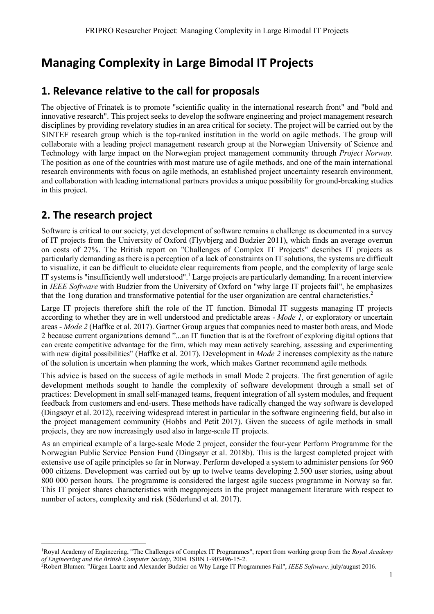# **Managing Complexity in Large Bimodal IT Projects**

# **1. Relevance relative to the call for proposals**

The objective of Frinatek is to promote "scientific quality in the international research front" and "bold and innovative research". This project seeks to develop the software engineering and project management research disciplines by providing revelatory studies in an area critical for society. The project will be carried out by the SINTEF research group which is the top-ranked institution in the world on agile methods. The group will collaborate with a leading project management research group at the Norwegian University of Science and Technology with large impact on the Norwegian project management community through *Project Norway.* The position as one of the countries with most mature use of agile methods, and one of the main international research environments with focus on agile methods, an established project uncertainty research environment, and collaboration with leading international partners provides a unique possibility for ground-breaking studies in this project.

# **2. The research project**

Software is critical to our society, yet development of software remains a challenge as documented in a survey of IT projects from the University of Oxford (Flyvbjerg and Budzier 2011), which finds an average overrun on costs of 27%. The British report on "Challenges of Complex IT Projects" describes IT projects as particularly demanding as there is a perception of a lack of constraints on IT solutions, the systems are difficult to visualize, it can be difficult to elucidate clear requirements from people, and the complexity of large scale IT systems is "insufficiently well understood".<sup>1</sup> Large projects are particularly demanding. In a recent interview in *IEEE Software* with Budzier from the University of Oxford on "why large IT projects fail", he emphasizes that the 1ong duration and transformative potential for the user organization are central characteristics.<sup>2</sup>

Large IT projects therefore shift the role of the IT function. Bimodal IT suggests managing IT projects according to whether they are in well understood and predictable areas - *Mode 1,* or exploratory or uncertain areas - *Mode 2* (Haffke et al. 2017). Gartner Group argues that companies need to master both areas, and Mode 2 because current organizations demand "...an IT function that is at the forefront of exploring digital options that can create competitive advantage for the firm, which may mean actively searching, assessing and experimenting with new digital possibilities" (Haffke et al. 2017). Development in *Mode 2* increases complexity as the nature of the solution is uncertain when planning the work, which makes Gartner recommend agile methods.

This advice is based on the success of agile methods in small Mode 2 projects. The first generation of agile development methods sought to handle the complexity of software development through a small set of practices: Development in small self-managed teams, frequent integration of all system modules, and frequent feedback from customers and end-users. These methods have radically changed the way software is developed (Dingsøyr et al. 2012), receiving widespread interest in particular in the software engineering field, but also in the project management community (Hobbs and Petit 2017). Given the success of agile methods in small projects, they are now increasingly used also in large-scale IT projects.

As an empirical example of a large-scale Mode 2 project, consider the four-year Perform Programme for the Norwegian Public Service Pension Fund (Dingsøyr et al. 2018b). This is the largest completed project with extensive use of agile principles so far in Norway. Perform developed a system to administer pensions for 960 000 citizens. Development was carried out by up to twelve teams developing 2.500 user stories, using about 800 000 person hours. The programme is considered the largest agile success programme in Norway so far. This IT project shares characteristics with megaprojects in the project management literature with respect to number of actors, complexity and risk (Söderlund et al. 2017).

 <sup>1</sup>Royal Academy of Engineering, "The Challenges of Complex IT Programmes", report from working group from the *Royal Academy of Engineering and the British Computer Society*, 2004. ISBN 1-903496-15-2.

<sup>2</sup>Robert Blumen: "Jürgen Laartz and Alexander Budzier on Why Large IT Programmes Fail", *IEEE Software,* july/august 2016.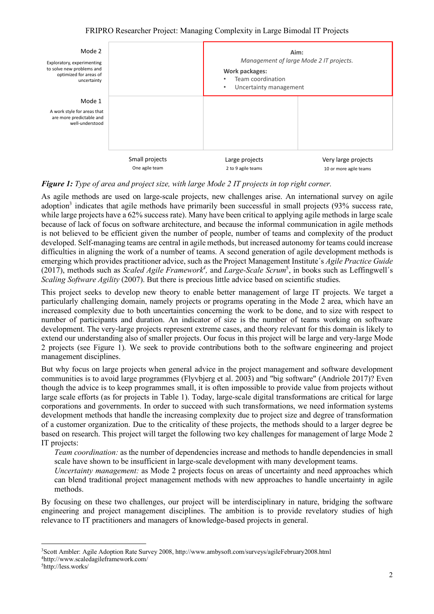

## *Figure 1: Type of area and project size, with large Mode 2 IT projects in top right corner.*

As agile methods are used on large-scale projects, new challenges arise. An international survey on agile adoption<sup>3</sup> indicates that agile methods have primarily been successful in small projects  $(93\%$  success rate, while large projects have a 62% success rate). Many have been critical to applying agile methods in large scale because of lack of focus on software architecture, and because the informal communication in agile methods is not believed to be efficient given the number of people, number of teams and complexity of the product developed. Self-managing teams are central in agile methods, but increased autonomy for teams could increase difficulties in aligning the work of a number of teams. A second generation of agile development methods is emerging which provides practitioner advice, such as the Project Management Institute´s *Agile Practice Guide*  (2017), methods such as *Scaled Agile Framework<sup>4</sup>*, and *Large-Scale Scrum<sup>5</sup>*, in books such as Leffingwell's *Scaling Software Agility* (2007). But there is precious little advice based on scientific studies.

This project seeks to develop new theory to enable better management of large IT projects. We target a particularly challenging domain, namely projects or programs operating in the Mode 2 area, which have an increased complexity due to both uncertainties concerning the work to be done, and to size with respect to number of participants and duration. An indicator of size is the number of teams working on software development. The very-large projects represent extreme cases, and theory relevant for this domain is likely to extend our understanding also of smaller projects. Our focus in this project will be large and very-large Mode 2 projects (see Figure 1). We seek to provide contributions both to the software engineering and project management disciplines.

But why focus on large projects when general advice in the project management and software development communities is to avoid large programmes (Flyvbjerg et al. 2003) and "big software" (Andriole 2017)? Even though the advice is to keep programmes small, it is often impossible to provide value from projects without large scale efforts (as for projects in Table 1). Today, large-scale digital transformations are critical for large corporations and governments. In order to succeed with such transformations, we need information systems development methods that handle the increasing complexity due to project size and degree of transformation of a customer organization. Due to the criticality of these projects, the methods should to a larger degree be based on research. This project will target the following two key challenges for management of large Mode 2 IT projects:

*Team coordination:* as the number of dependencies increase and methods to handle dependencies in small scale have shown to be insufficient in large-scale development with many development teams.

*Uncertainty management:* as Mode 2 projects focus on areas of uncertainty and need approaches which can blend traditional project management methods with new approaches to handle uncertainty in agile methods.

By focusing on these two challenges, our project will be interdisciplinary in nature, bridging the software engineering and project management disciplines. The ambition is to provide revelatory studies of high relevance to IT practitioners and managers of knowledge-based projects in general.

 <sup>3</sup>Scott Ambler: Agile Adoption Rate Survey 2008, http://www.ambysoft.com/surveys/agileFebruary2008.html 4http://www.scaledagileframework.com/

<sup>5</sup>http://less.works/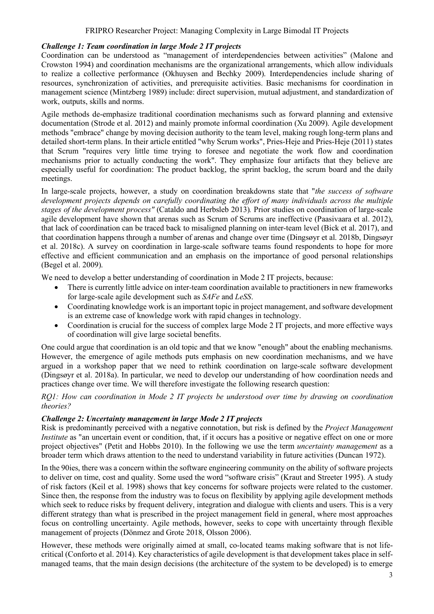#### *Challenge 1: Team coordination in large Mode 2 IT projects*

Coordination can be understood as "management of interdependencies between activities" (Malone and Crowston 1994) and coordination mechanisms are the organizational arrangements, which allow individuals to realize a collective performance (Okhuysen and Bechky 2009). Interdependencies include sharing of resources, synchronization of activities, and prerequisite activities. Basic mechanisms for coordination in management science (Mintzberg 1989) include: direct supervision, mutual adjustment, and standardization of work, outputs, skills and norms.

Agile methods de-emphasize traditional coordination mechanisms such as forward planning and extensive documentation (Strode et al. 2012) and mainly promote informal coordination (Xu 2009). Agile development methods "embrace" change by moving decision authority to the team level, making rough long-term plans and detailed short-term plans. In their article entitled "why Scrum works", Pries-Heje and Pries-Heje (2011) states that Scrum "requires very little time trying to foresee and negotiate the work flow and coordination mechanisms prior to actually conducting the work". They emphasize four artifacts that they believe are especially useful for coordination: The product backlog, the sprint backlog, the scrum board and the daily meetings.

In large-scale projects, however, a study on coordination breakdowns state that "*the success of software development projects depends on carefully coordinating the effort of many individuals across the multiple stages of the development process"* (Cataldo and Herbsleb 2013)*.* Prior studies on coordination of large-scale agile development have shown that arenas such as Scrum of Scrums are ineffective (Paasivaara et al. 2012), that lack of coordination can be traced back to misaligned planning on inter-team level (Bick et al. 2017), and that coordination happens through a number of arenas and change over time (Dingsøyr et al. 2018b, Dingsøyr et al. 2018c). A survey on coordination in large-scale software teams found respondents to hope for more effective and efficient communication and an emphasis on the importance of good personal relationships (Begel et al. 2009).

We need to develop a better understanding of coordination in Mode 2 IT projects, because:

- There is currently little advice on inter-team coordination available to practitioners in new frameworks for large-scale agile development such as *SAFe* and *LeSS*.
- Coordinating knowledge work is an important topic in project management, and software development is an extreme case of knowledge work with rapid changes in technology.
- Coordination is crucial for the success of complex large Mode 2 IT projects, and more effective ways of coordination will give large societal benefits.

One could argue that coordination is an old topic and that we know "enough" about the enabling mechanisms. However, the emergence of agile methods puts emphasis on new coordination mechanisms, and we have argued in a workshop paper that we need to rethink coordination on large-scale software development (Dingsøyr et al. 2018a). In particular, we need to develop our understanding of how coordination needs and practices change over time. We will therefore investigate the following research question:

*RQ1: How can coordination in Mode 2 IT projects be understood over time by drawing on coordination theories?*

## *Challenge 2: Uncertainty management in large Mode 2 IT projects*

Risk is predominantly perceived with a negative connotation, but risk is defined by the *Project Management Institute* as "an uncertain event or condition, that, if it occurs has a positive or negative effect on one or more project objectives" (Petit and Hobbs 2010). In the following we use the term *uncertainty management* as a broader term which draws attention to the need to understand variability in future activities (Duncan 1972).

In the 90ies, there was a concern within the software engineering community on the ability of software projects to deliver on time, cost and quality. Some used the word "software crisis" (Kraut and Streeter 1995). A study of risk factors (Keil et al. 1998) shows that key concerns for software projects were related to the customer. Since then, the response from the industry was to focus on flexibility by applying agile development methods which seek to reduce risks by frequent delivery, integration and dialogue with clients and users. This is a very different strategy than what is prescribed in the project management field in general, where most approaches focus on controlling uncertainty. Agile methods, however, seeks to cope with uncertainty through flexible management of projects (Dönmez and Grote 2018, Olsson 2006).

However, these methods were originally aimed at small, co-located teams making software that is not lifecritical (Conforto et al. 2014). Key characteristics of agile development is that development takes place in selfmanaged teams, that the main design decisions (the architecture of the system to be developed) is to emerge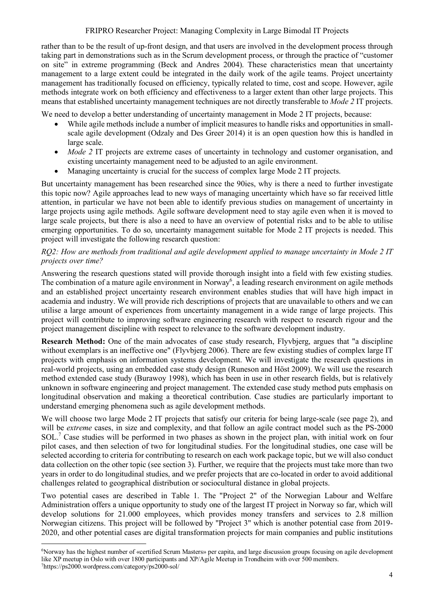rather than to be the result of up-front design, and that users are involved in the development process through taking part in demonstrations such as in the Scrum development process, or through the practice of "customer on site" in extreme programming (Beck and Andres 2004). These characteristics mean that uncertainty management to a large extent could be integrated in the daily work of the agile teams. Project uncertainty management has traditionally focused on efficiency, typically related to time, cost and scope. However, agile methods integrate work on both efficiency and effectiveness to a larger extent than other large projects. This means that established uncertainty management techniques are not directly transferable to *Mode 2* IT projects.

We need to develop a better understanding of uncertainty management in Mode 2 IT projects, because:

- While agile methods include a number of implicit measures to handle risks and opportunities in smallscale agile development (Odzaly and Des Greer 2014) it is an open question how this is handled in large scale.
- *Mode 2* IT projects are extreme cases of uncertainty in technology and customer organisation, and existing uncertainty management need to be adjusted to an agile environment.
- Managing uncertainty is crucial for the success of complex large Mode 2 IT projects.

But uncertainty management has been researched since the 90ies, why is there a need to further investigate this topic now? Agile approaches lead to new ways of managing uncertainty which have so far received little attention, in particular we have not been able to identify previous studies on management of uncertainty in large projects using agile methods. Agile software development need to stay agile even when it is moved to large scale projects, but there is also a need to have an overview of potential risks and to be able to utilise emerging opportunities. To do so, uncertainty management suitable for Mode 2 IT projects is needed. This project will investigate the following research question:

#### *RQ2: How are methods from traditional and agile development applied to manage uncertainty in Mode 2 IT projects over time?*

Answering the research questions stated will provide thorough insight into a field with few existing studies. The combination of a mature agile environment in Norway<sup>6</sup>, a leading research environment on agile methods and an established project uncertainty research environment enables studies that will have high impact in academia and industry. We will provide rich descriptions of projects that are unavailable to others and we can utilise a large amount of experiences from uncertainty management in a wide range of large projects. This project will contribute to improving software engineering research with respect to research rigour and the project management discipline with respect to relevance to the software development industry.

**Research Method:** One of the main advocates of case study research, Flyvbjerg, argues that "a discipline without exemplars is an ineffective one" (Flyvbjerg 2006). There are few existing studies of complex large IT projects with emphasis on information systems development. We will investigate the research questions in real-world projects, using an embedded case study design (Runeson and Höst 2009). We will use the research method extended case study (Burawoy 1998), which has been in use in other research fields, but is relatively unknown in software engineering and project management. The extended case study method puts emphasis on longitudinal observation and making a theoretical contribution. Case studies are particularly important to understand emerging phenomena such as agile development methods.

We will choose two large Mode 2 IT projects that satisfy our criteria for being large-scale (see page 2), and will be *extreme* cases, in size and complexity, and that follow an agile contract model such as the PS-2000 SOL.7 Case studies will be performed in two phases as shown in the project plan, with initial work on four pilot cases, and then selection of two for longitudinal studies. For the longitudinal studies, one case will be selected according to criteria for contributing to research on each work package topic, but we will also conduct data collection on the other topic (see section 3). Further, we require that the projects must take more than two years in order to do longitudinal studies, and we prefer projects that are co-located in order to avoid additional challenges related to geographical distribution or sociocultural distance in global projects.

Two potential cases are described in Table 1. The "Project 2" of the Norwegian Labour and Welfare Administration offers a unique opportunity to study one of the largest IT project in Norway so far, which will develop solutions for 21.000 employees, which provides money transfers and services to 2.8 million Norwegian citizens. This project will be followed by "Project 3" which is another potential case from 2019- 2020, and other potential cases are digital transformation projects for main companies and public institutions

 <sup>6</sup>Norway has the highest number of «certified Scrum Masters» per capita, and large discussion groups focusing on agile development like XP meetup in Oslo with over 1800 participants and XP/Agile Meetup in Trondheim with over 500 members. 7https://ps2000.wordpress.com/category/ps2000-sol/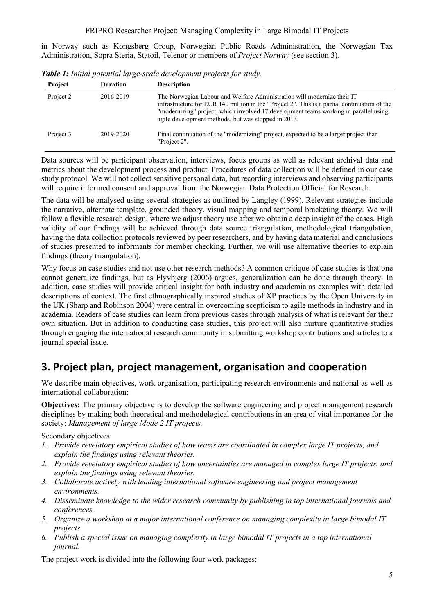in Norway such as Kongsberg Group, Norwegian Public Roads Administration, the Norwegian Tax Administration, Sopra Steria, Statoil, Telenor or members of *Project Norway* (see section 3)*.*

| <b>Project</b> | <b>Duration</b> | <b>Description</b>                                                                                                                                                                                                                                                                                                     |
|----------------|-----------------|------------------------------------------------------------------------------------------------------------------------------------------------------------------------------------------------------------------------------------------------------------------------------------------------------------------------|
| Project 2      | 2016-2019       | The Norwegian Labour and Welfare Administration will modernize their IT<br>infrastructure for EUR 140 million in the "Project 2". This is a partial continuation of the<br>"modernizing" project, which involved 17 development teams working in parallel using<br>agile development methods, but was stopped in 2013. |
| Project 3      | 2019-2020       | Final continuation of the "modernizing" project, expected to be a larger project than<br>"Project 2".                                                                                                                                                                                                                  |

*Table 1: Initial potential large-scale development projects for study.*

Data sources will be participant observation, interviews, focus groups as well as relevant archival data and metrics about the development process and product. Procedures of data collection will be defined in our case study protocol. We will not collect sensitive personal data, but recording interviews and observing participants will require informed consent and approval from the Norwegian Data Protection Official for Research.

The data will be analysed using several strategies as outlined by Langley (1999). Relevant strategies include the narrative, alternate template, grounded theory, visual mapping and temporal bracketing theory. We will follow a flexible research design, where we adjust theory use after we obtain a deep insight of the cases. High validity of our findings will be achieved through data source triangulation, methodological triangulation, having the data collection protocols reviewed by peer researchers, and by having data material and conclusions of studies presented to informants for member checking. Further, we will use alternative theories to explain findings (theory triangulation).

Why focus on case studies and not use other research methods? A common critique of case studies is that one cannot generalize findings, but as Flyvbjerg (2006) argues, generalization can be done through theory. In addition, case studies will provide critical insight for both industry and academia as examples with detailed descriptions of context. The first ethnographically inspired studies of XP practices by the Open University in the UK (Sharp and Robinson 2004) were central in overcoming scepticism to agile methods in industry and in academia. Readers of case studies can learn from previous cases through analysis of what is relevant for their own situation. But in addition to conducting case studies, this project will also nurture quantitative studies through engaging the international research community in submitting workshop contributions and articles to a journal special issue.

# **3. Project plan, project management, organisation and cooperation**

We describe main objectives, work organisation, participating research environments and national as well as international collaboration:

**Objectives:** The primary objective is to develop the software engineering and project management research disciplines by making both theoretical and methodological contributions in an area of vital importance for the society: *Management of large Mode 2 IT projects.*

Secondary objectives:

- *1. Provide revelatory empirical studies of how teams are coordinated in complex large IT projects, and explain the findings using relevant theories.*
- *2. Provide revelatory empirical studies of how uncertainties are managed in complex large IT projects, and explain the findings using relevant theories.*
- *3. Collaborate actively with leading international software engineering and project management environments.*
- *4. Disseminate knowledge to the wider research community by publishing in top international journals and conferences.*
- *5. Organize a workshop at a major international conference on managing complexity in large bimodal IT projects.*
- *6. Publish a special issue on managing complexity in large bimodal IT projects in a top international journal.*

The project work is divided into the following four work packages: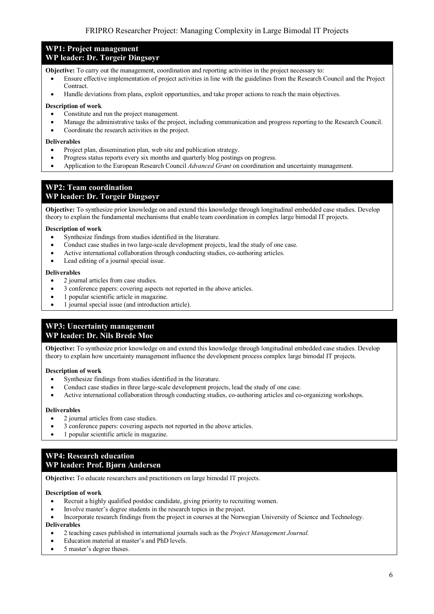#### **WP1: Project management WP leader: Dr. Torgeir Dingsøyr**

## **Objective:** To carry out the management, coordination and reporting activities in the project necessary to:

- Ensure effective implementation of project activities in line with the guidelines from the Research Council and the Project Contract.
- Handle deviations from plans, exploit opportunities, and take proper actions to reach the main objectives.

#### **Description of work**

- Constitute and run the project management.
- Manage the administrative tasks of the project, including communication and progress reporting to the Research Council.
- Coordinate the research activities in the project.

#### **Deliverables**

- Project plan, dissemination plan, web site and publication strategy.
- Progress status reports every six months and quarterly blog postings on progress.
- Application to the European Research Council *Advanced Grant* on coordination and uncertainty management.

#### **WP2: Team coordination WP leader: Dr. Torgeir Dingsøyr**

**Objective:** To synthesize prior knowledge on and extend this knowledge through longitudinal embedded case studies. Develop theory to explain the fundamental mechanisms that enable team coordination in complex large bimodal IT projects.

#### **Description of work**

- Synthesize findings from studies identified in the literature.
- Conduct case studies in two large-scale development projects, lead the study of one case.
- Active international collaboration through conducting studies, co-authoring articles.
- Lead editing of a journal special issue.

#### **Deliverables**

- 2 journal articles from case studies.
- 3 conference papers: covering aspects not reported in the above articles.
- 1 popular scientific article in magazine.
- 1 journal special issue (and introduction article).

## **WP3: Uncertainty management WP leader: Dr. Nils Brede Moe**

**Objective:** To synthesize prior knowledge on and extend this knowledge through longitudinal embedded case studies. Develop theory to explain how uncertainty management influence the development process complex large bimodal IT projects.

#### **Description of work**

- Synthesize findings from studies identified in the literature.
- Conduct case studies in three large-scale development projects, lead the study of one case.
- Active international collaboration through conducting studies, co-authoring articles and co-organizing workshops.

#### **Deliverables**

- 2 journal articles from case studies.
- 3 conference papers: covering aspects not reported in the above articles.
- 1 popular scientific article in magazine.

### **WP4: Research education WP leader: Prof. Bjørn Andersen**

**Objective:** To educate researchers and practitioners on large bimodal IT projects.

#### **Description of work**

- Recruit a highly qualified postdoc candidate, giving priority to recruiting women.
- Involve master's degree students in the research topics in the project.
- Incorporate research findings from the project in courses at the Norwegian University of Science and Technology. **Deliverables**
- 2 teaching cases published in international journals such as the *Project Management Journal.*
- Education material at master's and PhD levels.
- 5 master's degree theses.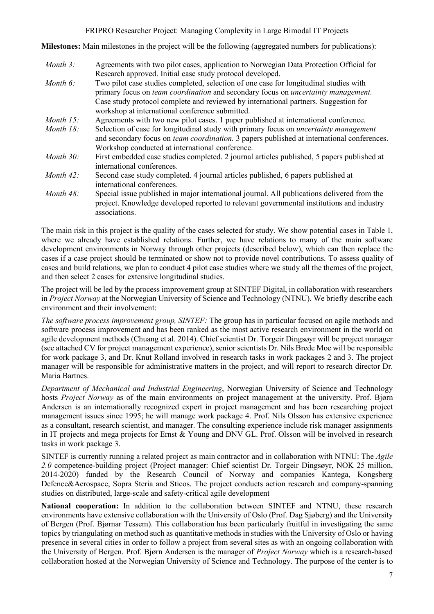**Milestones:** Main milestones in the project will be the following (aggregated numbers for publications):

| Month $3$ :  | Agreements with two pilot cases, application to Norwegian Data Protection Official for<br>Research approved. Initial case study protocol developed.                                                |
|--------------|----------------------------------------------------------------------------------------------------------------------------------------------------------------------------------------------------|
| Month $6$ :  | Two pilot case studies completed, selection of one case for longitudinal studies with<br>primary focus on <i>team coordination</i> and secondary focus on <i>uncertainty management</i> .          |
|              | Case study protocol complete and reviewed by international partners. Suggestion for<br>workshop at international conference submitted.                                                             |
| Month $15$ : | Agreements with two new pilot cases. 1 paper published at international conference.                                                                                                                |
| Month 18:    | Selection of case for longitudinal study with primary focus on <i>uncertainty management</i><br>and secondary focus on <i>team coordination</i> . 3 papers published at international conferences. |
|              | Workshop conducted at international conference.                                                                                                                                                    |
| Month $30$ : | First embedded case studies completed. 2 journal articles published, 5 papers published at<br>international conferences.                                                                           |
| Month $42$ : | Second case study completed. 4 journal articles published, 6 papers published at<br>international conferences.                                                                                     |
| Month 48:    | Special issue published in major international journal. All publications delivered from the<br>project. Knowledge developed reported to relevant governmental institutions and industry            |

The main risk in this project is the quality of the cases selected for study. We show potential cases in Table 1, where we already have established relations. Further, we have relations to many of the main software development environments in Norway through other projects (described below), which can then replace the cases if a case project should be terminated or show not to provide novel contributions. To assess quality of cases and build relations, we plan to conduct 4 pilot case studies where we study all the themes of the project, and then select 2 cases for extensive longitudinal studies.

associations.

The project will be led by the process improvement group at SINTEF Digital, in collaboration with researchers in *Project Norway* at the Norwegian University of Science and Technology (NTNU). We briefly describe each environment and their involvement:

*The software process improvement group, SINTEF:* The group has in particular focused on agile methods and software process improvement and has been ranked as the most active research environment in the world on agile development methods (Chuang et al. 2014). Chief scientist Dr. Torgeir Dingsøyr will be project manager (see attached CV for project management experience), senior scientists Dr. Nils Brede Moe will be responsible for work package 3, and Dr. Knut Rolland involved in research tasks in work packages 2 and 3. The project manager will be responsible for administrative matters in the project, and will report to research director Dr. Maria Bartnes.

*Department of Mechanical and Industrial Engineering*, Norwegian University of Science and Technology hosts *Project Norway* as of the main environments on project management at the university. Prof. Bjørn Andersen is an internationally recognized expert in project management and has been researching project management issues since 1995; he will manage work package 4. Prof. Nils Olsson has extensive experience as a consultant, research scientist, and manager. The consulting experience include risk manager assignments in IT projects and mega projects for Ernst & Young and DNV GL. Prof. Olsson will be involved in research tasks in work package 3.

SINTEF is currently running a related project as main contractor and in collaboration with NTNU: The *Agile 2.0* competence-building project (Project manager: Chief scientist Dr. Torgeir Dingsøyr, NOK 25 million, 2014-2020) funded by the Research Council of Norway and companies Kantega, Kongsberg Defence&Aerospace, Sopra Steria and Sticos. The project conducts action research and company-spanning studies on distributed, large-scale and safety-critical agile development

**National cooperation:** In addition to the collaboration between SINTEF and NTNU, these research environments have extensive collaboration with the University of Oslo (Prof. Dag Sjøberg) and the University of Bergen (Prof. Bjørnar Tessem). This collaboration has been particularly fruitful in investigating the same topics by triangulating on method such as quantitative methods in studies with the University of Oslo or having presence in several cities in order to follow a project from several sites as with an ongoing collaboration with the University of Bergen. Prof. Bjørn Andersen is the manager of *Project Norway* which is a research-based collaboration hosted at the Norwegian University of Science and Technology. The purpose of the center is to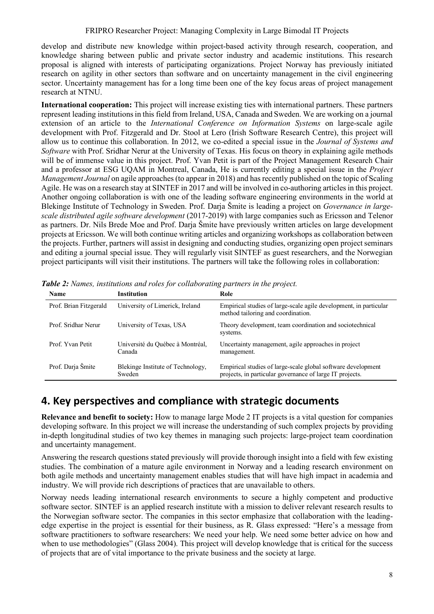develop and distribute new knowledge within project-based activity through research, cooperation, and knowledge sharing between public and private sector industry and academic institutions. This research proposal is aligned with interests of participating organizations. Project Norway has previously initiated research on agility in other sectors than software and on uncertainty management in the civil engineering sector. Uncertainty management has for a long time been one of the key focus areas of project management research at NTNU.

**International cooperation:** This project will increase existing ties with international partners. These partners represent leading institutions in this field from Ireland, USA, Canada and Sweden. We are working on a journal extension of an article to the *International Conference on Information Systems* on large-scale agile development with Prof. Fitzgerald and Dr. Stool at Lero (Irish Software Research Centre), this project will allow us to continue this collaboration. In 2012, we co-edited a special issue in the *Journal of Systems and Software* with Prof. Sridhar Nerur at the University of Texas. His focus on theory in explaining agile methods will be of immense value in this project. Prof. Yvan Petit is part of the Project Management Research Chair and a professor at ESG UQAM in Montreal, Canada, He is currently editing a special issue in the *Project Management Journal* on agile approaches (to appear in 2018) and has recently published on the topic of Scaling Agile. He was on a research stay at SINTEF in 2017 and will be involved in co-authoring articles in this project. Another ongoing collaboration is with one of the leading software engineering environments in the world at Blekinge Institute of Technology in Sweden. Prof. Darja Šmite is leading a project on *Governance in largescale distributed agile software development* (2017-2019) with large companies such as Ericsson and Telenor as partners. Dr. Nils Brede Moe and Prof. Darja Šmite have previously written articles on large development projects at Ericsson. We will both continue writing articles and organizing workshops as collaboration between the projects. Further, partners will assist in designing and conducting studies, organizing open project seminars and editing a journal special issue. They will regularly visit SINTEF as guest researchers, and the Norwegian project participants will visit their institutions. The partners will take the following roles in collaboration:

| <b>Name</b>            | <b>Institution</b>                          | Role                                                                                                                     |
|------------------------|---------------------------------------------|--------------------------------------------------------------------------------------------------------------------------|
| Prof. Brian Fitzgerald | University of Limerick, Ireland             | Empirical studies of large-scale agile development, in particular<br>method tailoring and coordination.                  |
| Prof. Sridhar Nerur    | University of Texas, USA                    | Theory development, team coordination and sociotechnical<br>systems.                                                     |
| Prof. Yvan Petit       | Université du Québec à Montréal,<br>Canada  | Uncertainty management, agile approaches in project<br>management.                                                       |
| Prof. Darja Šmite      | Blekinge Institute of Technology,<br>Sweden | Empirical studies of large-scale global software development<br>projects, in particular governance of large IT projects. |

*Table 2: Names, institutions and roles for collaborating partners in the project.*

# **4. Key perspectives and compliance with strategic documents**

**Relevance and benefit to society:** How to manage large Mode 2 IT projects is a vital question for companies developing software. In this project we will increase the understanding of such complex projects by providing in-depth longitudinal studies of two key themes in managing such projects: large-project team coordination and uncertainty management.

Answering the research questions stated previously will provide thorough insight into a field with few existing studies. The combination of a mature agile environment in Norway and a leading research environment on both agile methods and uncertainty management enables studies that will have high impact in academia and industry. We will provide rich descriptions of practices that are unavailable to others.

Norway needs leading international research environments to secure a highly competent and productive software sector. SINTEF is an applied research institute with a mission to deliver relevant research results to the Norwegian software sector. The companies in this sector emphasize that collaboration with the leadingedge expertise in the project is essential for their business, as R. Glass expressed: "Here's a message from software practitioners to software researchers: We need your help. We need some better advice on how and when to use methodologies" (Glass 2004). This project will develop knowledge that is critical for the success of projects that are of vital importance to the private business and the society at large.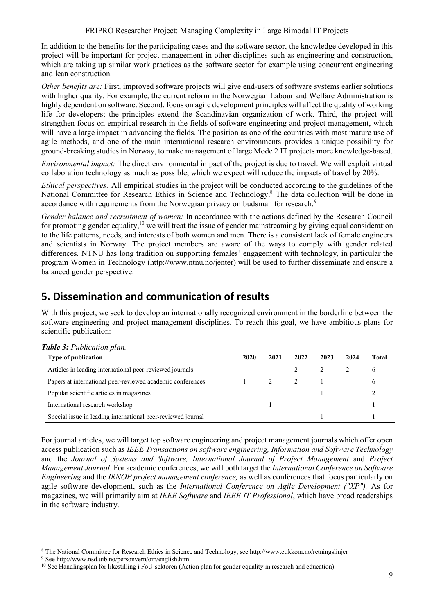In addition to the benefits for the participating cases and the software sector, the knowledge developed in this project will be important for project management in other disciplines such as engineering and construction, which are taking up similar work practices as the software sector for example using concurrent engineering and lean construction.

*Other benefits are:* First, improved software projects will give end-users of software systems earlier solutions with higher quality. For example, the current reform in the Norwegian Labour and Welfare Administration is highly dependent on software. Second, focus on agile development principles will affect the quality of working life for developers; the principles extend the Scandinavian organization of work. Third, the project will strengthen focus on empirical research in the fields of software engineering and project management, which will have a large impact in advancing the fields. The position as one of the countries with most mature use of agile methods, and one of the main international research environments provides a unique possibility for ground-breaking studies in Norway, to make management of large Mode 2 IT projects more knowledge-based.

*Environmental impact:* The direct environmental impact of the project is due to travel. We will exploit virtual collaboration technology as much as possible, which we expect will reduce the impacts of travel by 20%.

*Ethical perspectives:* All empirical studies in the project will be conducted according to the guidelines of the National Committee for Research Ethics in Science and Technology.8 The data collection will be done in accordance with requirements from the Norwegian privacy ombudsman for research.<sup>9</sup>

*Gender balance and recruitment of women:* In accordance with the actions defined by the Research Council for promoting gender equality,<sup>10</sup> we will treat the issue of gender mainstreaming by giving equal consideration to the life patterns, needs, and interests of both women and men. There is a consistent lack of female engineers and scientists in Norway. The project members are aware of the ways to comply with gender related differences. NTNU has long tradition on supporting females' engagement with technology, in particular the program Women in Technology (http://www.ntnu.no/jenter) will be used to further disseminate and ensure a balanced gender perspective.

# **5. Dissemination and communication of results**

With this project, we seek to develop an internationally recognized environment in the borderline between the software engineering and project management disciplines. To reach this goal, we have ambitious plans for scientific publication:

| <b>Type of publication</b>                                   | 2020 | 2021 | 2022 | 2023 | 2024 | Total |
|--------------------------------------------------------------|------|------|------|------|------|-------|
| Articles in leading international peer-reviewed journals     |      |      |      |      |      | O     |
| Papers at international peer-reviewed academic conferences   |      |      |      |      |      | O     |
| Popular scientific articles in magazines                     |      |      |      |      |      |       |
| International research workshop                              |      |      |      |      |      |       |
| Special issue in leading international peer-reviewed journal |      |      |      |      |      |       |

For journal articles, we will target top software engineering and project management journals which offer open access publication such as *IEEE Transactions on software engineering, Information and Software Technology*  and the *Journal of Systems and Software, International Journal of Project Management* and *Project Management Journal*. For academic conferences, we will both target the *International Conference on Software Engineering* and the *IRNOP project management conference,* as well as conferences that focus particularly on agile software development, such as the *International Conference on Agile Development ("XP").* As for magazines, we will primarily aim at *IEEE Software* and *IEEE IT Professional*, which have broad readerships in the software industry.

 <sup>8</sup> The National Committee for Research Ethics in Science and Technology, see http://www.etikkom.no/retningslinjer

<sup>9</sup> See http://www.nsd.uib.no/personvern/om/english.html

<sup>&</sup>lt;sup>10</sup> See Handlingsplan for likestilling i FoU-sektoren (Action plan for gender equality in research and education).